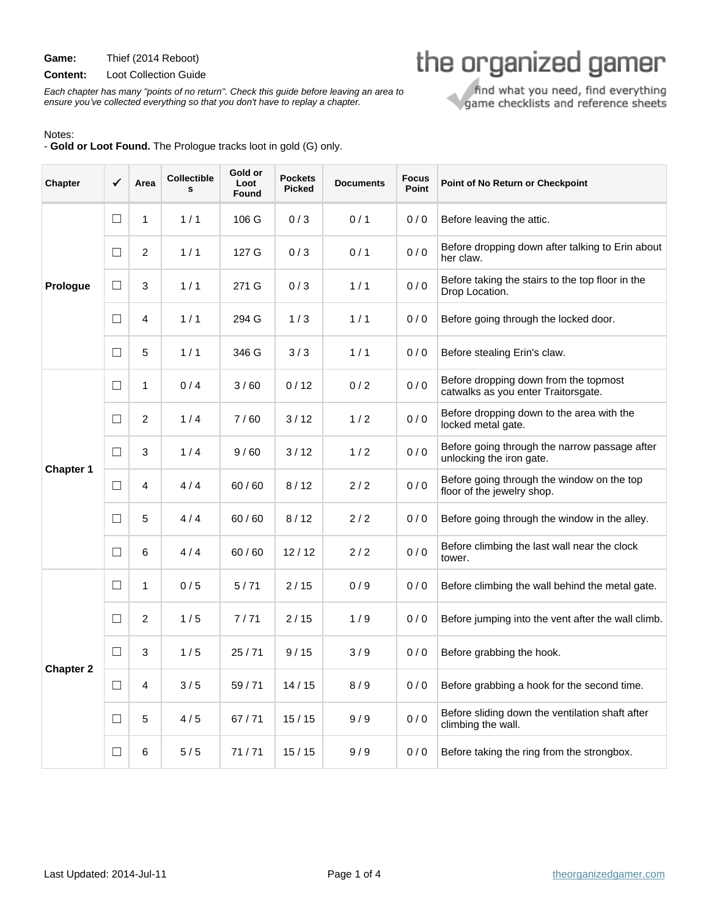**Game:** Thief (2014 Reboot)

**Content:** Loot Collection Guide

Each chapter has many "points of no return". Check this guide before leaving an area to ensure you've collected everything so that you don't have to replay a chapter.

## Notes:

- **Gold or Loot Found.** The Prologue tracks loot in gold (G) only.

| Chapter          | ✓      | Area           | <b>Collectible</b><br>s | Gold or<br>Loot<br>Found | <b>Pockets</b><br><b>Picked</b> | <b>Documents</b> | <b>Focus</b><br>Point | Point of No Return or Checkpoint                                             |
|------------------|--------|----------------|-------------------------|--------------------------|---------------------------------|------------------|-----------------------|------------------------------------------------------------------------------|
| Prologue         | $\Box$ | $\mathbf{1}$   | 1/1                     | 106 G                    | 0/3                             | 0/1              | 0/0                   | Before leaving the attic.                                                    |
|                  | $\Box$ | 2              | 1/1                     | 127 G                    | 0/3                             | 0/1              | 0/0                   | Before dropping down after talking to Erin about<br>her claw.                |
|                  | $\Box$ | 3              | 1/1                     | 271 G                    | 0/3                             | 1/1              | 0/0                   | Before taking the stairs to the top floor in the<br>Drop Location.           |
|                  | $\Box$ | 4              | 1/1                     | 294 G                    | 1/3                             | 1/1              | 0/0                   | Before going through the locked door.                                        |
|                  | $\Box$ | 5              | 1/1                     | 346 G                    | 3/3                             | 1/1              | 0/0                   | Before stealing Erin's claw.                                                 |
| <b>Chapter 1</b> | $\Box$ | 1              | 0/4                     | 3/60                     | 0/12                            | 0/2              | 0/0                   | Before dropping down from the topmost<br>catwalks as you enter Traitorsgate. |
|                  | $\Box$ | $\overline{c}$ | 1/4                     | 7/60                     | 3/12                            | 1/2              | 0/0                   | Before dropping down to the area with the<br>locked metal gate.              |
|                  | $\Box$ | 3              | 1/4                     | 9/60                     | 3/12                            | 1/2              | 0/0                   | Before going through the narrow passage after<br>unlocking the iron gate.    |
|                  | $\Box$ | 4              | 4/4                     | 60 / 60                  | 8/12                            | 2/2              | 0/0                   | Before going through the window on the top<br>floor of the jewelry shop.     |
|                  | $\Box$ | 5              | 4/4                     | 60/60                    | 8/12                            | 2/2              | 0/0                   | Before going through the window in the alley.                                |
|                  | $\Box$ | 6              | 4/4                     | 60/60                    | 12/12                           | 2/2              | 0/0                   | Before climbing the last wall near the clock<br>tower.                       |
| <b>Chapter 2</b> | $\Box$ | 1              | 0/5                     | 5/71                     | 2/15                            | 0/9              | 0/0                   | Before climbing the wall behind the metal gate.                              |
|                  | $\Box$ | $\overline{c}$ | 1/5                     | 7/71                     | 2/15                            | 1/9              | 0/0                   | Before jumping into the vent after the wall climb.                           |
|                  | $\Box$ | 3              | 1/5                     | 25/71                    | 9/15                            | 3/9              | 0/0                   | Before grabbing the hook.                                                    |
|                  | $\Box$ | 4              | 3/5                     | 59/71                    | 14/15                           | 8/9              | 0/0                   | Before grabbing a hook for the second time.                                  |
|                  | $\Box$ | 5              | 4/5                     | 67/71                    | 15/15                           | 9/9              | 0/0                   | Before sliding down the ventilation shaft after<br>climbing the wall.        |
|                  | $\Box$ | 6              | 5/5                     | 71/71                    | 15/15                           | 9/9              | 0/0                   | Before taking the ring from the strongbox.                                   |

find what you need, find everything<br>game checklists and reference sheets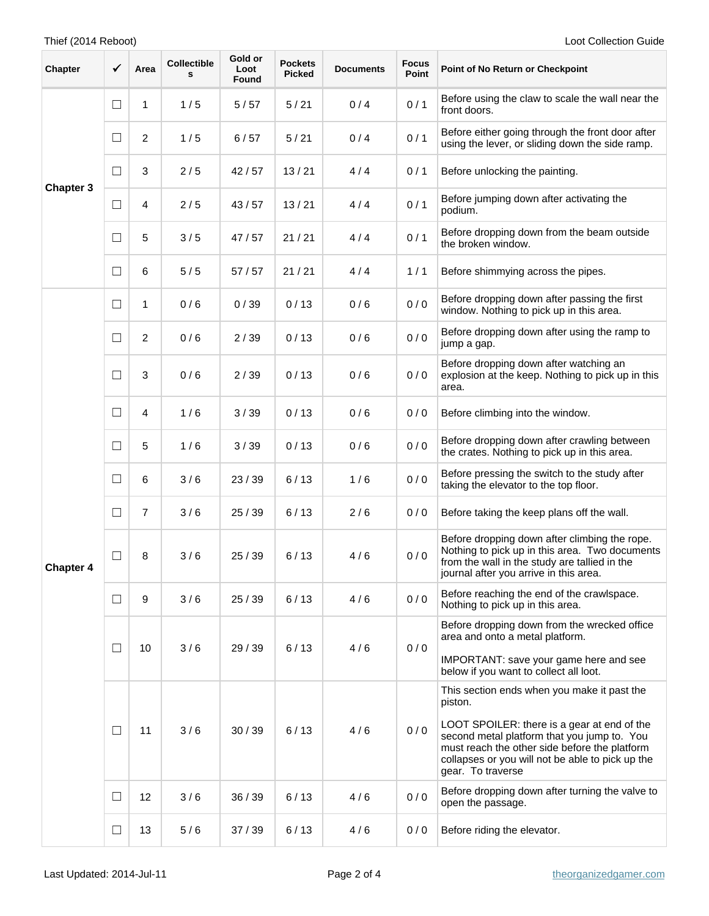## Thief (2014 Reboot) Loot Collection Guide

| Chapter          | $\checkmark$ | Area                    | Collectible<br>s | Gold or<br>Loot<br>Found | <b>Pockets</b><br><b>Picked</b> | <b>Documents</b> | <b>Focus</b><br>Point | Point of No Return or Checkpoint                                                                                                                                                                                     |
|------------------|--------------|-------------------------|------------------|--------------------------|---------------------------------|------------------|-----------------------|----------------------------------------------------------------------------------------------------------------------------------------------------------------------------------------------------------------------|
| <b>Chapter 3</b> | $\Box$       | 1                       | 1/5              | 5/57                     | 5/21                            | 0/4              | 0/1                   | Before using the claw to scale the wall near the<br>front doors.                                                                                                                                                     |
|                  | $\Box$       | $\overline{2}$          | 1/5              | 6/57                     | 5/21                            | 0/4              | 0/1                   | Before either going through the front door after<br>using the lever, or sliding down the side ramp.                                                                                                                  |
|                  | $\Box$       | $\mathbf{3}$            | 2/5              | 42/57                    | 13/21                           | 4/4              | 0/1                   | Before unlocking the painting.                                                                                                                                                                                       |
|                  | $\Box$       | $\overline{\mathbf{4}}$ | 2/5              | 43/57                    | 13/21                           | 4/4              | 0/1                   | Before jumping down after activating the<br>podium.                                                                                                                                                                  |
|                  | $\Box$       | 5                       | 3/5              | 47/57                    | 21/21                           | 4/4              | 0/1                   | Before dropping down from the beam outside<br>the broken window.                                                                                                                                                     |
|                  | ⊔            | 6                       | 5/5              | 57/57                    | 21/21                           | 4/4              | 1/1                   | Before shimmying across the pipes.                                                                                                                                                                                   |
|                  | $\Box$       | 1                       | 0/6              | 0/39                     | 0/13                            | 0/6              | 0/0                   | Before dropping down after passing the first<br>window. Nothing to pick up in this area.                                                                                                                             |
|                  | $\Box$       | $\overline{c}$          | 0/6              | 2/39                     | 0/13                            | 0/6              | 0/0                   | Before dropping down after using the ramp to<br>jump a gap.                                                                                                                                                          |
| <b>Chapter 4</b> | $\Box$       | 3                       | 0/6              | 2/39                     | 0/13                            | 0/6              | 0/0                   | Before dropping down after watching an<br>explosion at the keep. Nothing to pick up in this<br>area.                                                                                                                 |
|                  | $\Box$       | 4                       | 1/6              | 3/39                     | 0/13                            | 0/6              | 0/0                   | Before climbing into the window.                                                                                                                                                                                     |
|                  | $\Box$       | 5                       | 1/6              | 3/39                     | 0/13                            | 0/6              | 0/0                   | Before dropping down after crawling between<br>the crates. Nothing to pick up in this area.                                                                                                                          |
|                  | $\Box$       | 6                       | 3/6              | 23/39                    | 6/13                            | 1/6              | 0/0                   | Before pressing the switch to the study after<br>taking the elevator to the top floor.                                                                                                                               |
|                  | $\Box$       | $\overline{7}$          | 3/6              | 25/39                    | 6/13                            | 2/6              | 0/0                   | Before taking the keep plans off the wall.                                                                                                                                                                           |
|                  | $\Box$       | 8                       | 3/6              | 25/39                    | 6/13                            | 4/6              | 0/0                   | Before dropping down after climbing the rope.<br>Nothing to pick up in this area. Two documents<br>from the wall in the study are tallied in the<br>journal after you arrive in this area.                           |
|                  | $\Box$       | 9                       | 3/6              | 25/39                    | 6/13                            | 4/6              | 0/0                   | Before reaching the end of the crawlspace.<br>Nothing to pick up in this area.                                                                                                                                       |
|                  | $\Box$       | 10                      | 3/6              | 29 / 39                  | 6/13                            | 4/6              | 0/0                   | Before dropping down from the wrecked office<br>area and onto a metal platform.<br>IMPORTANT: save your game here and see<br>below if you want to collect all loot.                                                  |
|                  |              |                         |                  |                          |                                 |                  |                       | This section ends when you make it past the<br>piston.                                                                                                                                                               |
|                  | $\Box$       | 11                      | 3/6              | 30/39                    | 6/13                            | 4/6              | 0/0                   | LOOT SPOILER: there is a gear at end of the<br>second metal platform that you jump to. You<br>must reach the other side before the platform<br>collapses or you will not be able to pick up the<br>gear. To traverse |
|                  | $\Box$       | 12                      | 3/6              | 36 / 39                  | 6/13                            | 4/6              | 0/0                   | Before dropping down after turning the valve to<br>open the passage.                                                                                                                                                 |
|                  | $\Box$       | 13                      | 5/6              | 37/39                    | 6/13                            | 4/6              | 0/0                   | Before riding the elevator.                                                                                                                                                                                          |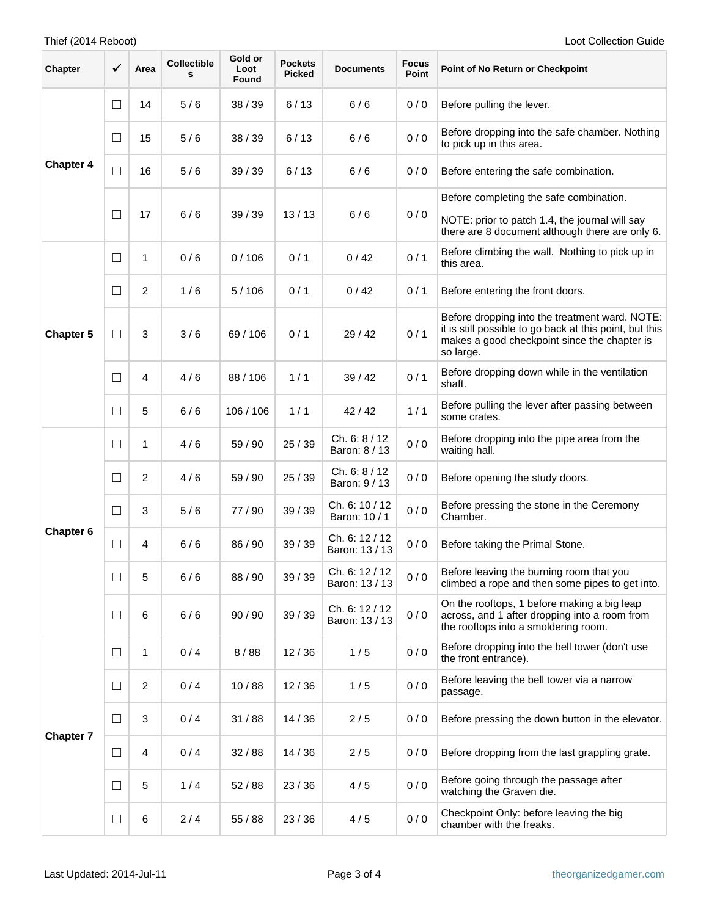| <b>Chapter</b>   | $\checkmark$ | Area           | <b>Collectible</b><br>s | Gold or<br>Loot<br>Found | <b>Pockets</b><br><b>Picked</b> | <b>Documents</b>                 | <b>Focus</b><br>Point | Point of No Return or Checkpoint                                                                                                                                       |
|------------------|--------------|----------------|-------------------------|--------------------------|---------------------------------|----------------------------------|-----------------------|------------------------------------------------------------------------------------------------------------------------------------------------------------------------|
| <b>Chapter 4</b> | $\Box$       | 14             | 5/6                     | 38 / 39                  | 6/13                            | 6/6                              | 0/0                   | Before pulling the lever.                                                                                                                                              |
|                  | $\Box$       | 15             | 5/6                     | 38/39                    | 6/13                            | 6/6                              | 0/0                   | Before dropping into the safe chamber. Nothing<br>to pick up in this area.                                                                                             |
|                  | $\Box$       | 16             | 5/6                     | 39/39                    | 6/13                            | 6/6                              | 0/0                   | Before entering the safe combination.                                                                                                                                  |
|                  | □            | 17             | 6/6                     | 39/39                    | 13/13                           | 6/6                              | 0/0                   | Before completing the safe combination.<br>NOTE: prior to patch 1.4, the journal will say<br>there are 8 document although there are only 6.                           |
| <b>Chapter 5</b> | $\Box$       | 1              | 0/6                     | 0/106                    | 0/1                             | 0/42                             | 0/1                   | Before climbing the wall. Nothing to pick up in<br>this area.                                                                                                          |
|                  | $\Box$       | $\overline{2}$ | 1/6                     | 5/106                    | 0/1                             | 0/42                             | 0/1                   | Before entering the front doors.                                                                                                                                       |
|                  | $\Box$       | 3              | 3/6                     | 69/106                   | 0/1                             | 29/42                            | 0/1                   | Before dropping into the treatment ward. NOTE:<br>it is still possible to go back at this point, but this<br>makes a good checkpoint since the chapter is<br>so large. |
|                  | □            | 4              | 4/6                     | 88 / 106                 | 1/1                             | 39/42                            | 0/1                   | Before dropping down while in the ventilation<br>shaft.                                                                                                                |
|                  | $\Box$       | 5              | 6/6                     | 106/106                  | 1/1                             | 42/42                            | 1/1                   | Before pulling the lever after passing between<br>some crates.                                                                                                         |
| Chapter 6        | $\Box$       | 1              | 4/6                     | 59 / 90                  | 25 / 39                         | Ch. 6: 8/12<br>Baron: 8 / 13     | 0/0                   | Before dropping into the pipe area from the<br>waiting hall.                                                                                                           |
|                  | $\Box$       | 2              | 4/6                     | 59 / 90                  | 25/39                           | Ch. 6: 8/12<br>Baron: 9 / 13     | 0/0                   | Before opening the study doors.                                                                                                                                        |
|                  | $\Box$       | 3              | 5/6                     | 77 / 90                  | 39/39                           | Ch. 6: 10 / 12<br>Baron: 10 / 1  | 0/0                   | Before pressing the stone in the Ceremony<br>Chamber.                                                                                                                  |
|                  | $\Box$       | 4              | 6/6                     | 86 / 90                  | 39/39                           | Ch. 6: 12 / 12<br>Baron: 13 / 13 | 0/0                   | Before taking the Primal Stone.                                                                                                                                        |
|                  | $\Box$       | 5              | 6/6                     | 88/90                    | 39/39                           | Ch. 6: 12 / 12<br>Baron: 13 / 13 | 0/0                   | Before leaving the burning room that you<br>climbed a rope and then some pipes to get into.                                                                            |
|                  | $\Box$       | $\,6$          | 6/6                     | 90/90                    | 39 / 39                         | Ch. 6: 12 / 12<br>Baron: 13 / 13 | 0/0                   | On the rooftops, 1 before making a big leap<br>across, and 1 after dropping into a room from<br>the rooftops into a smoldering room.                                   |
| <b>Chapter 7</b> | $\Box$       | 1              | 0/4                     | 8/88                     | 12/36                           | 1/5                              | 0/0                   | Before dropping into the bell tower (don't use<br>the front entrance).                                                                                                 |
|                  | $\Box$       | $\overline{2}$ | 0/4                     | 10/88                    | 12/36                           | 1/5                              | 0/0                   | Before leaving the bell tower via a narrow<br>passage.                                                                                                                 |
|                  | $\Box$       | 3              | 0/4                     | 31/88                    | 14/36                           | 2/5                              | 0/0                   | Before pressing the down button in the elevator.                                                                                                                       |
|                  | $\Box$       | $\overline{4}$ | 0/4                     | 32/88                    | 14/36                           | 2/5                              | 0/0                   | Before dropping from the last grappling grate.                                                                                                                         |
|                  | $\Box$       | 5              | 1/4                     | 52/88                    | 23/36                           | 4/5                              | 0/0                   | Before going through the passage after<br>watching the Graven die.                                                                                                     |
|                  | $\Box$       | 6              | 2/4                     | 55 / 88                  | 23/36                           | 4/5                              | 0/0                   | Checkpoint Only: before leaving the big<br>chamber with the freaks.                                                                                                    |